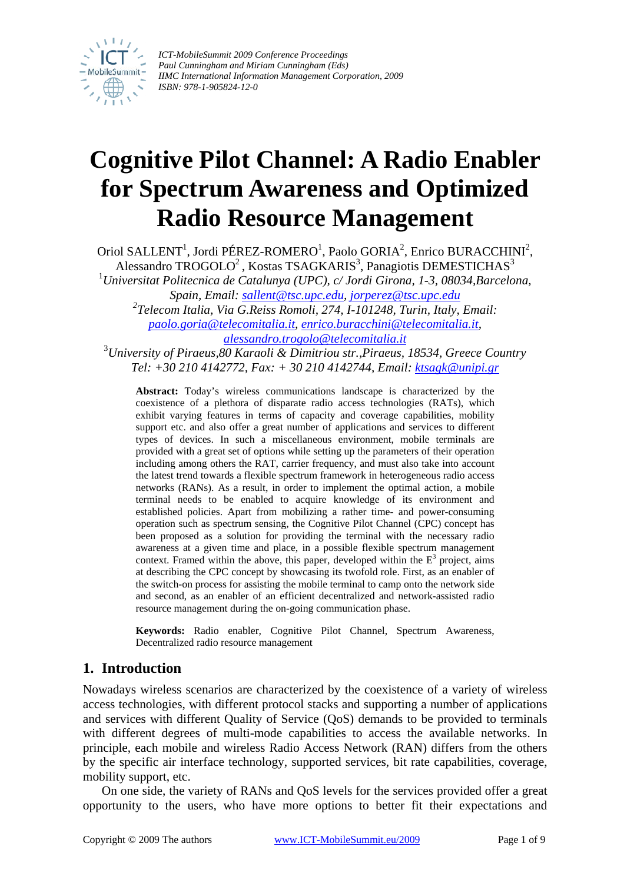

*ICT-MobileSummit 2009 Conference Proceedings Paul Cunningham and Miriam Cunningham (Eds) IIMC International Information Management Corporation, 2009 ISBN: 978-1-905824-12-0*

# **Cognitive Pilot Channel: A Radio Enabler for Spectrum Awareness and Optimized Radio Resource Management**

Oriol SALLENT<sup>1</sup>, Jordi PÉREZ-ROMERO<sup>1</sup>, Paolo GORIA<sup>2</sup>, Enrico BURACCHINI<sup>2</sup>, Alessandro TROGOLO<sup>2</sup>, Kostas TSAGKARIS<sup>3</sup>, Panagiotis DEMESTICHAS<sup>3</sup> 1 *Universitat Politecnica de Catalunya (UPC), c/ Jordi Girona, 1-3, 08034,Barcelona, Spain, Email: [sallent@tsc.upc.edu,](mailto:sallent@tsc.upc.edu) [jorperez@tsc.upc.edu](mailto:jorperez@tsc.upc.edu) 2 Telecom Italia, Via G.Reiss Romoli, 274, I-101248, Turin, Italy, Email: [paolo.goria@telecomitalia.it](mailto:paolo.goria@telecomitalia.it), [enrico.buracchini@telecomitalia.it](mailto:enrico.buracchini@telecomitalia.it), [alessandro.trogolo@telecomitalia.it](mailto:alessandro.trogolo@telecomitalia.it)* <sup>3</sup> *University of Piraeus,80 Karaoli & Dimitriou str.,Piraeus, 18534, Greece Country* 

*Tel: +30 210 4142772, Fax: + 30 210 4142744, Email: [ktsagk@unipi.gr](mailto:ktsagk@unipi.gr)* 

**Abstract:** Today's wireless communications landscape is characterized by the coexistence of a plethora of disparate radio access technologies (RATs), which exhibit varying features in terms of capacity and coverage capabilities, mobility support etc. and also offer a great number of applications and services to different types of devices. In such a miscellaneous environment, mobile terminals are provided with a great set of options while setting up the parameters of their operation including among others the RAT, carrier frequency, and must also take into account the latest trend towards a flexible spectrum framework in heterogeneous radio access networks (RANs). As a result, in order to implement the optimal action, a mobile terminal needs to be enabled to acquire knowledge of its environment and established policies. Apart from mobilizing a rather time- and power-consuming operation such as spectrum sensing, the Cognitive Pilot Channel (CPC) concept has been proposed as a solution for providing the terminal with the necessary radio awareness at a given time and place, in a possible flexible spectrum management context. Framed within the above, this paper, developed within the  $E<sup>3</sup>$  project, aims at describing the CPC concept by showcasing its twofold role. First, as an enabler of the switch-on process for assisting the mobile terminal to camp onto the network side and second, as an enabler of an efficient decentralized and network-assisted radio resource management during the on-going communication phase.

**Keywords:** Radio enabler, Cognitive Pilot Channel, Spectrum Awareness, Decentralized radio resource management

# **1. Introduction**

Nowadays wireless scenarios are characterized by the coexistence of a variety of wireless access technologies, with different protocol stacks and supporting a number of applications and services with different Quality of Service (QoS) demands to be provided to terminals with different degrees of multi-mode capabilities to access the available networks. In principle, each mobile and wireless Radio Access Network (RAN) differs from the others by the specific air interface technology, supported services, bit rate capabilities, coverage, mobility support, etc.

On one side, the variety of RANs and QoS levels for the services provided offer a great opportunity to the users, who have more options to better fit their expectations and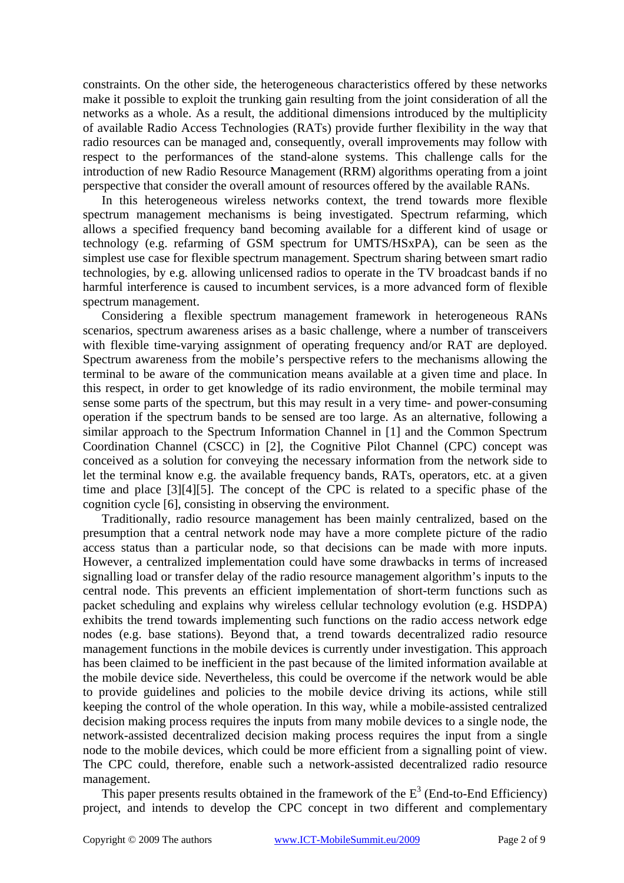constraints. On the other side, the heterogeneous characteristics offered by these networks make it possible to exploit the trunking gain resulting from the joint consideration of all the networks as a whole. As a result, the additional dimensions introduced by the multiplicity of available Radio Access Technologies (RATs) provide further flexibility in the way that radio resources can be managed and, consequently, overall improvements may follow with respect to the performances of the stand-alone systems. This challenge calls for the introduction of new Radio Resource Management (RRM) algorithms operating from a joint perspective that consider the overall amount of resources offered by the available RANs.

In this heterogeneous wireless networks context, the trend towards more flexible spectrum management mechanisms is being investigated. Spectrum refarming, which allows a specified frequency band becoming available for a different kind of usage or technology (e.g. refarming of GSM spectrum for UMTS/HSxPA), can be seen as the simplest use case for flexible spectrum management. Spectrum sharing between smart radio technologies, by e.g. allowing unlicensed radios to operate in the TV broadcast bands if no harmful interference is caused to incumbent services, is a more advanced form of flexible spectrum management.

Considering a flexible spectrum management framework in heterogeneous RANs scenarios, spectrum awareness arises as a basic challenge, where a number of transceivers with flexible time-varying assignment of operating frequency and/or RAT are deployed. Spectrum awareness from the mobile's perspective refers to the mechanisms allowing the terminal to be aware of the communication means available at a given time and place. In this respect, in order to get knowledge of its radio environment, the mobile terminal may sense some parts of the spectrum, but this may result in a very time- and power-consuming operation if the spectrum bands to be sensed are too large. As an alternative, following a similar approach to the Spectrum Information Channel in [\[1\]](#page-7-0) and the Common Spectrum Coordination Channel (CSCC) in [\[2\],](#page-7-1) the Cognitive Pilot Channel (CPC) concept was conceived as a solution for conveying the necessary information from the network side to let the terminal know e.g. the available frequency bands, RATs, operators, etc. at a given time and place [\[3\]](#page-7-2)[\[4\]](#page-7-3)[\[5\].](#page-8-0) The concept of the CPC is related to a specific [ph](#page-8-1)ase of the cognition cycle [\[6\],](#page-8-1) consisting in observing the environment.

Traditionally, radio resource management has been mainly centralized, based on the presumption that a central network node may have a more complete picture of the radio access status than a particular node, so that decisions can be made with more inputs. However, a centralized implementation could have some drawbacks in terms of increased signalling load or transfer delay of the radio resource management algorithm's inputs to the central node. This prevents an efficient implementation of short-term functions such as packet scheduling and explains why wireless cellular technology evolution (e.g. HSDPA) exhibits the trend towards implementing such functions on the radio access network edge nodes (e.g. base stations). Beyond that, a trend towards decentralized radio resource management functions in the mobile devices is currently under investigation. This approach has been claimed to be inefficient in the past because of the limited information available at the mobile device side. Nevertheless, this could be overcome if the network would be able to provide guidelines and policies to the mobile device driving its actions, while still keeping the control of the whole operation. In this way, while a mobile-assisted centralized decision making process requires the inputs from many mobile devices to a single node, the network-assisted decentralized decision making process requires the input from a single node to the mobile devices, which could be more efficient from a signalling point of view. The CPC could, therefore, enable such a network-assisted decentralized radio resource management.

This paper presents results obtained in the framework of the  $E^3$  (End-to-End Efficiency) project, and intends to develop the CPC concept in two different and complementary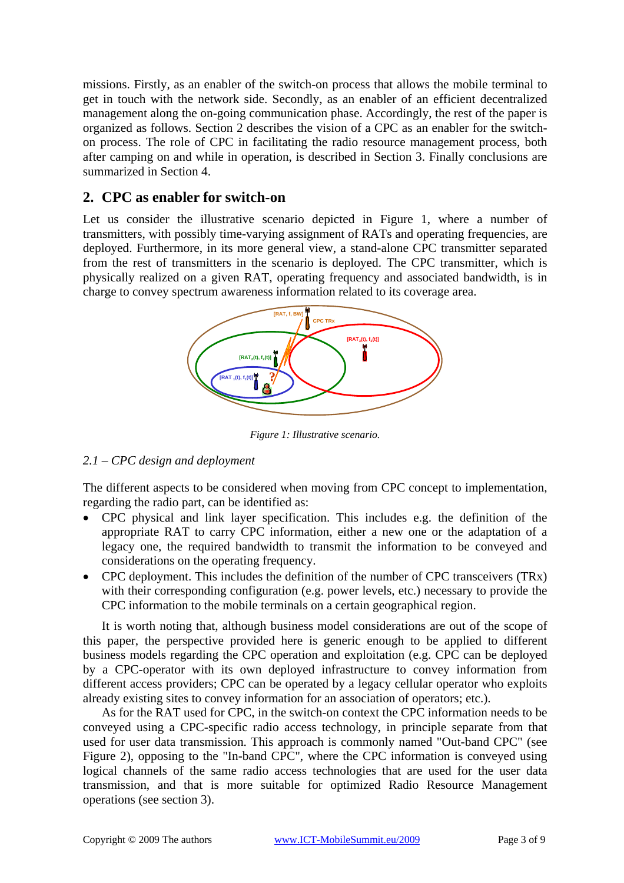missions. Firstly, as an enabler of the switch-on process that allows the mobile terminal to get in touch with the network side. Secondly, as an enabler of an efficient decentralized management along the on-going communication phase. Accordingly, the rest of the paper is organized as follows. Section 2 describes the vision of a CPC as an enabler for the switchon process. The role of CPC in facilitating the radio resource management process, both after camping on and while in operation, is described in Section 3. Finally conclusions are summarized in Section 4.

# **2. CPC as enabler for switch-on**

Let us consider the illustrative scenario depicted in [Figure 1,](#page-2-0) where a number of transmitters, with possibly time-varying assignment of RATs and operating frequencies, are deployed. Furthermore, in its more general view, a stand-alone CPC transmitter separated from the rest of transmitters in the scenario is deployed. The CPC transmitter, which is physically realized on a given RAT, operating frequency and associated bandwidth, is in charge to convey spectrum awareness information related to its coverage area.

<span id="page-2-0"></span>

*Figure 1: Illustrative scenario.* 

## *2.1 – CPC design and deployment*

The different aspects to be considered when moving from CPC concept to implementation, regarding the radio part, can be identified as:

- CPC physical and link layer specification. This includes e.g. the definition of the appropriate RAT to carry CPC information, either a new one or the adaptation of a legacy one, the required bandwidth to transmit the information to be conveyed and considerations on the operating frequency.
- CPC deployment. This includes the definition of the number of CPC transceivers (TRx) with their corresponding configuration (e.g. power levels, etc.) necessary to provide the CPC information to the mobile terminals on a certain geographical region.

It is worth noting that, although business model considerations are out of the scope of this paper, the perspective provided here is generic enough to be applied to different business models regarding the CPC operation and exploitation (e.g. CPC can be deployed by a CPC-operator with its own deployed infrastructure to convey information from different access providers; CPC can be operated by a legacy cellular operator who exploits already existing sites to convey information for an association of operators; etc.).

As for the RAT used for CPC, in the switch-on context the CPC information needs to be conveyed using a CPC-specific radio access technology, in principle separate from that used for user data transmission. This approach is commonly named "Out-band CPC" (see [Figure 2\)](#page-3-0), opposing to the "In-band CPC", where the CPC information is conveyed using logical channels of the same radio access technologies that are used for the user data transmission, and that is more suitable for optimized Radio Resource Management operations (see section [3\)](#page-6-0).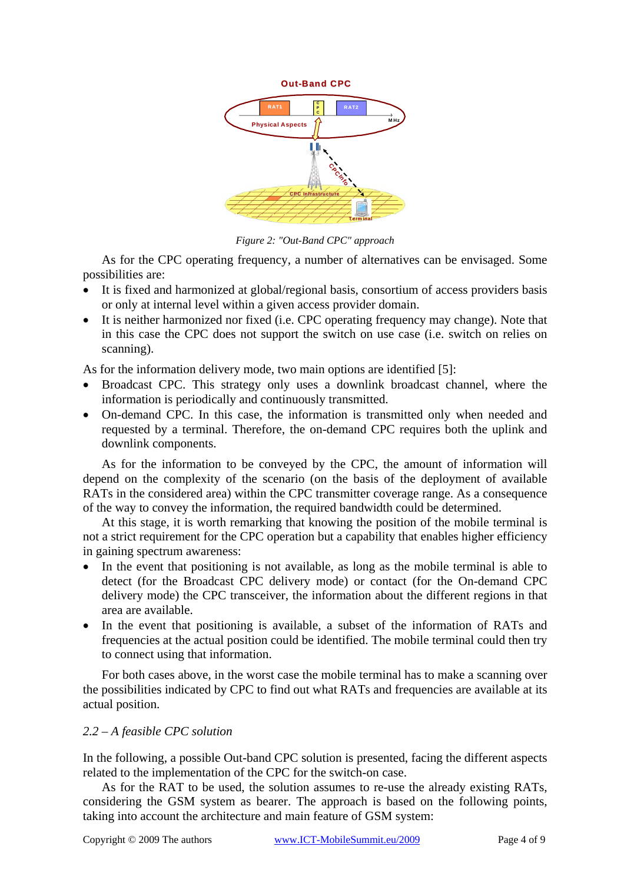<span id="page-3-0"></span>

*Figure 2: "Out-Band CPC" approach*

As for the CPC operating frequency, a number of alternatives can be envisaged. Some possibilities are:

- It is fixed and harmonized at global/regional basis, consortium of access providers basis or only at internal level within a given access provider domain.
- It is neither harmonized nor fixed (i.e. CPC operating frequency may change). Note that in this case the CPC does not support the switch on use case (i.e. switch on relies on scanning).

As for the information delivery mode, two main options are identified [\[5\]:](#page-8-0)

- Broadcast CPC. This strategy only uses a downlink broadcast channel, where the information is periodically and continuously transmitted.
- On-demand CPC. In this case, the information is transmitted only when needed and requested by a terminal. Therefore, the on-demand CPC requires both the uplink and downlink components.

As for the information to be conveyed by the CPC, the amount of information will depend on the complexity of the scenario (on the basis of the deployment of available RATs in the considered area) within the CPC transmitter coverage range. As a consequence of the way to convey the information, the required bandwidth could be determined.

At this stage, it is worth remarking that knowing the position of the mobile terminal is not a strict requirement for the CPC operation but a capability that enables higher efficiency in gaining spectrum awareness:

- In the event that positioning is not available, as long as the mobile terminal is able to detect (for the Broadcast CPC delivery mode) or contact (for the On-demand CPC delivery mode) the CPC transceiver, the information about the different regions in that area are available.
- In the event that positioning is available, a subset of the information of RATs and frequencies at the actual position could be identified. The mobile terminal could then try to connect using that information.

For both cases above, in the worst case the mobile terminal has to make a scanning over the possibilities indicated by CPC to find out what RATs and frequencies are available at its actual position.

#### *2.2 – A feasible CPC solution*

In the following, a possible Out-band CPC solution is presented, facing the different aspects related to the implementation of the CPC for the switch-on case.

As for the RAT to be used, the solution assumes to re-use the already existing RATs, considering the GSM system as bearer. The approach is based on the following points, taking into account the architecture and main feature of GSM system: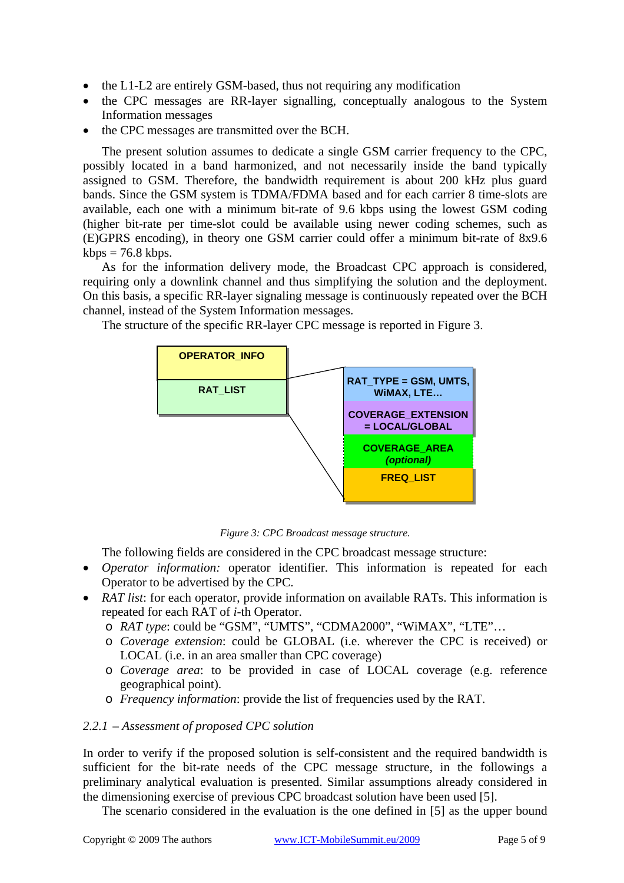- the L1-L2 are entirely GSM-based, thus not requiring any modification
- the CPC messages are RR-layer signalling, conceptually analogous to the System Information messages
- the CPC messages are transmitted over the BCH.

The present solution assumes to dedicate a single GSM carrier frequency to the CPC, possibly located in a band harmonized, and not necessarily inside the band typically assigned to GSM. Therefore, the bandwidth requirement is about 200 kHz plus guard bands. Since the GSM system is TDMA/FDMA based and for each carrier 8 time-slots are available, each one with a minimum bit-rate of 9.6 kbps using the lowest GSM coding (higher bit-rate per time-slot could be available using newer coding schemes, such as (E)GPRS encoding), in theory one GSM carrier could offer a minimum bit-rate of 8x9.6  $kbps = 76.8 kbps.$ 

As for the information delivery mode, the Broadcast CPC approach is considered, requiring only a downlink channel and thus simplifying the solution and the deployment. On this basis, a specific RR-layer signaling message is continuously repeated over the BCH channel, instead of the System Information messages.



The structure of the specific RR-layer CPC message is reported in [Figure 3.](#page-4-0)

<span id="page-4-0"></span>*Figure 3: CPC Broadcast message structure.*

The following fields are considered in the CPC broadcast message structure:

- *Operator information:* operator identifier. This information is repeated for each Operator to be advertised by the CPC.
- *RAT list*: for each operator, provide information on available RATs. This information is repeated for each RAT of *i*-th Operator.
	- o *RAT type*: could be "GSM", "UMTS", "CDMA2000", "WiMAX", "LTE"…
	- o *Coverage extension*: could be GLOBAL (i.e. wherever the CPC is received) or LOCAL (i.e. in an area smaller than CPC coverage)
	- o *Coverage area*: to be provided in case of LOCAL coverage (e.g. reference geographical point).
	- o *Frequency information*: provide the list of frequencies used by the RAT.

#### *2.2.1 – Assessment of proposed CPC solution*

In order to verify if the proposed solution is self-consistent and the required bandwidth is sufficient for the bit-rate needs of the CPC message structure, in the followings a preliminary analytical evaluation is presented. Similar assumptions already considered in the dimensioning exercise of previous CPC broadcast solution have been used [\[5\].](#page-8-0)

The scenario considered in the evaluation is the one defined in [\[5\]](#page-8-0) as the upper bound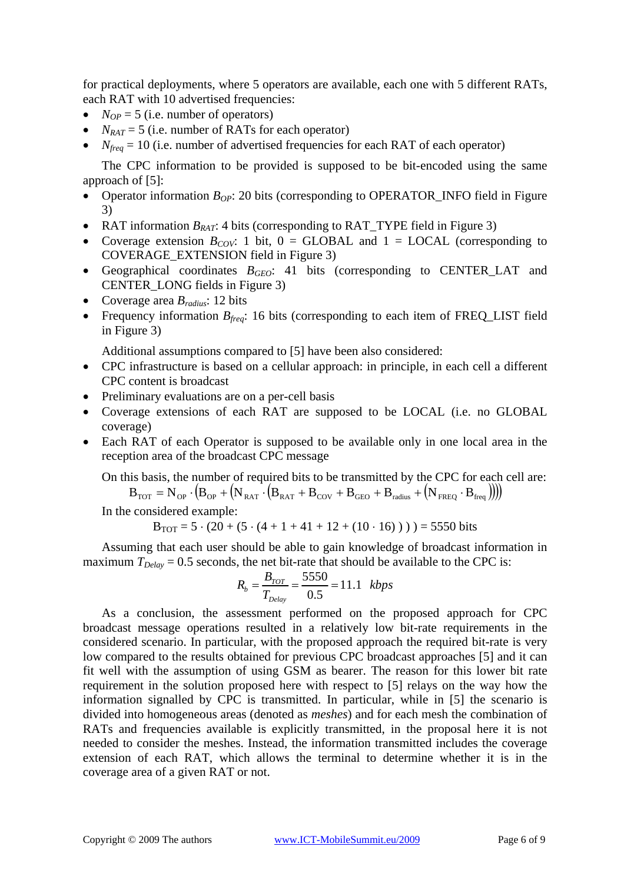for practical deployments, where 5 operators are available, each one with 5 different RATs, each RAT with 10 advertised frequencies:

- $N_{OP} = 5$  (i.e. number of operators)
- $N_{RAT} = 5$  (i.e. number of RATs for each operator)
- $N_{freq} = 10$  (i.e. number of advertised frequencies for each RAT of each operator)

The CPC information to be provided is supposed to be bit-encoded using the same approach of [\[5\]:](#page-8-0)

- Operator information  $B_{OP}$ : 20 bits (corresponding to OPERATOR\_INFO field in Figure [3\)](#page-4-0)
- RAT information  $B_{RAT}$ : 4 bits (corresponding to RAT\_TYPE field in [Figure 3\)](#page-4-0)
- Coverage extension  $B_{COV}$ : 1 bit, 0 = GLOBAL and 1 = LOCAL (corresponding to COVERAGE\_EXTENSION field in [Figure 3\)](#page-4-0)
- Geographical coordinates *BGEO*: 41 bits (corresponding to CENTER\_LAT and CENTER\_LONG fields in [Figure 3\)](#page-4-0)
- Coverage area *Bradius*: 12 bits
- Frequency information  $B_{\text{freq}}$ : 16 bits (corresponding to each item of FREQ\_LIST field in [Figure 3\)](#page-4-0)

Additional assumptions compared to [\[5\]](#page-8-0) have been also considered:

- CPC infrastructure is based on a cellular approach: in principle, in each cell a different CPC content is broadcast
- Preliminary evaluations are on a per-cell basis
- Coverage extensions of each RAT are supposed to be LOCAL (i.e. no GLOBAL coverage)
- Each RAT of each Operator is supposed to be available only in one local area in the reception area of the broadcast CPC message

On this basis, the number of required bits to be transmitted by the CPC for each cell are:

 $B_{\text{TOT}} = N_{\text{OP}} \cdot (B_{\text{OP}} + (N_{\text{RAT}} \cdot (B_{\text{RAT}} + B_{\text{COV}} + B_{\text{GEO}} + B_{\text{radius}} + (N_{\text{FREO}} \cdot B_{\text{freq}})))$ 

In the considered example:

$$
B_{TOT} = 5 \cdot (20 + (5 \cdot (4 + 1 + 41 + 12 + (10 \cdot 16)))) = 5550 bits
$$

Assuming that each user should be able to gain knowledge of broadcast information in maximum  $T_{Delay} = 0.5$  seconds, the net bit-rate that should be available to the CPC is:

$$
R_b = \frac{B_{TOT}}{T_{Delay}} = \frac{5550}{0.5} = 11.1 \text{ kbps}
$$

As a conclusion, the assessment performed on the proposed approach for CPC broadcast message operations resulted in a relatively low bit-rate requirements in the considered scenario. In particular, with the proposed approach the required bit-rate is very low compared to the results obtained for previous CPC broadcast approaches [\[5\]](#page-8-0) and it can fit well with the assumption of using GSM as bearer. The reason for this lower bit rate requirement in the solution proposed here with respect to [\[5\]](#page-8-0) relays on the way how the information signalled by CPC is transmitted. In particular, while in [\[5\]](#page-8-0) the scenario is divided into homogeneous areas (denoted as *meshes*) and for each mesh the combination of RATs and frequencies available is explicitly transmitted, in the proposal here it is not needed to consider the meshes. Instead, the information transmitted includes the coverage extension of each RAT, which allows the terminal to determine whether it is in the coverage area of a given RAT or not.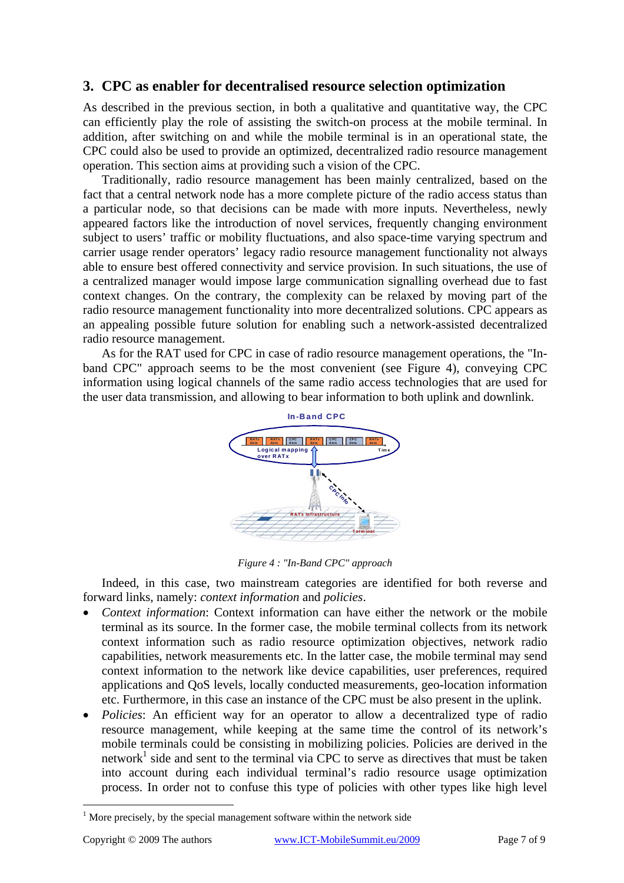# <span id="page-6-0"></span>**3. CPC as enabler for decentralised resource selection optimization**

As described in the previous section, in both a qualitative and quantitative way, the CPC can efficiently play the role of assisting the switch-on process at the mobile terminal. In addition, after switching on and while the mobile terminal is in an operational state, the CPC could also be used to provide an optimized, decentralized radio resource management operation. This section aims at providing such a vision of the CPC.

Traditionally, radio resource management has been mainly centralized, based on the fact that a central network node has a more complete picture of the radio access status than a particular node, so that decisions can be made with more inputs. Nevertheless, newly appeared factors like the introduction of novel services, frequently changing environment subject to users' traffic or mobility fluctuations, and also space-time varying spectrum and carrier usage render operators' legacy radio resource management functionality not always able to ensure best offered connectivity and service provision. In such situations, the use of a centralized manager would impose large communication signalling overhead due to fast context changes. On the contrary, the complexity can be relaxed by moving part of the radio resource management functionality into more decentralized solutions. CPC appears as an appealing possible future solution for enabling such a network-assisted decentralized radio resource management.

As for the RAT used for CPC in case of radio resource management operations, the "Inband CPC" approach seems to be the most convenient (see [Figure 4\)](#page-6-1), conveying CPC information using logical channels of the same radio access technologies that are used for the user data transmission, and allowing to bear information to both uplink and downlink.

<span id="page-6-1"></span>

*Figure 4 : "In-Band CPC" approach* 

Indeed, in this case, two mainstream categories are identified for both reverse and forward links, namely: *context information* and *policies*.

- *Context information*: Context information can have either the network or the mobile terminal as its source. In the former case, the mobile terminal collects from its network context information such as radio resource optimization objectives, network radio capabilities, network measurements etc. In the latter case, the mobile terminal may send context information to the network like device capabilities, user preferences, required applications and QoS levels, locally conducted measurements, geo-location information etc. Furthermore, in this case an instance of the CPC must be also present in the uplink.
- *Policies*: An efficient way for an operator to allow a decentralized type of radio resource management, while keeping at the same time the control of its network's mobile terminals could be consisting in mobilizing policies. Policies are derived in the network<sup>1</sup> side and sent to the terminal via CPC to serve as directives that must be taken into account during each individual terminal's radio resource usage optimization process. In order not to confuse this type of policies with other types like high level

 $\overline{a}$ 

<span id="page-6-2"></span> $1$  More precisely, by the special management software within the network side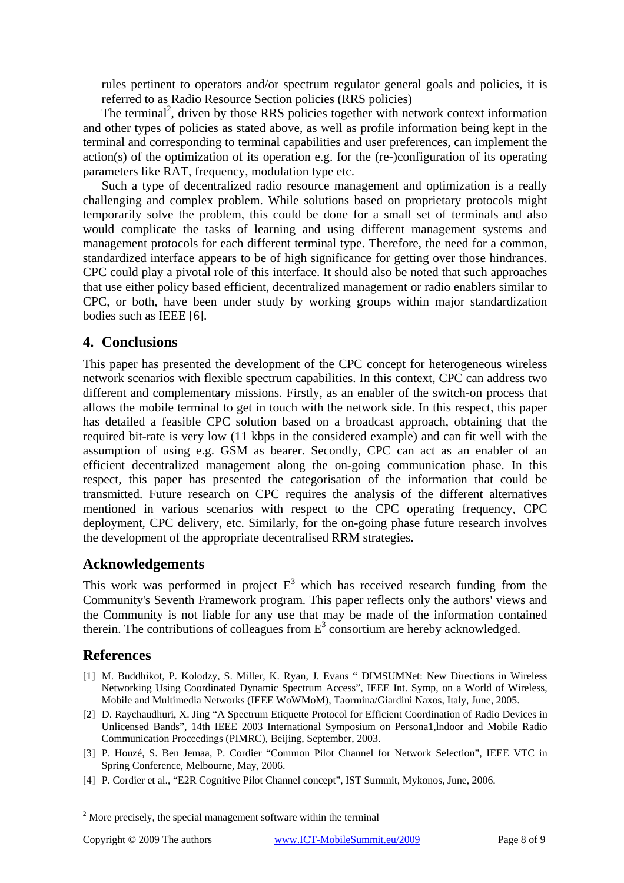rules pertinent to operators and/or spectrum regulator general goals and policies, it is referred to as Radio Resource Section policies (RRS policies)

The terminal<sup>2</sup>, driven by those RRS policies together with network context information and other types of policies as stated above, as well as profile information being kept in the terminal and corresponding to terminal capabilities and user preferences, can implement the action(s) of the optimization of its operation e.g. for the (re-)configuration of its operating parameters like RAT, frequency, modulation type etc.

Such a type of decentralized radio resource management and optimization is a really challenging and complex problem. While solutions based on proprietary protocols might temporarily solve the problem, this could be done for a small set of terminals and also would complicate the tasks of learning and using different management systems and management protocols for each different terminal type. Therefore, the need for a common, standardized interface appears to be of high significance for getting over those hindrances. CPC could play a pivotal role of this interface. It should also be noted that such approaches that use either policy based efficient, decentralized management or radio enablers similar to CPC, or both, have been under study by working groups within major standardization bodies such as IEEE [\[6\].](#page-8-2)

## **4. Conclusions**

This paper has presented the development of the CPC concept for heterogeneous wireless network scenarios with flexible spectrum capabilities. In this context, CPC can address two different and complementary missions. Firstly, as an enabler of the switch-on process that allows the mobile terminal to get in touch with the network side. In this respect, this paper has detailed a feasible CPC solution based on a broadcast approach, obtaining that the required bit-rate is very low (11 kbps in the considered example) and can fit well with the assumption of using e.g. GSM as bearer. Secondly, CPC can act as an enabler of an efficient decentralized management along the on-going communication phase. In this respect, this paper has presented the categorisation of the information that could be transmitted. Future research on CPC requires the analysis of the different alternatives mentioned in various scenarios with respect to the CPC operating frequency, CPC deployment, CPC delivery, etc. Similarly, for the on-going phase future research involves the development of the appropriate decentralised RRM strategies.

## **Acknowledgements**

This work was performed in project  $E<sup>3</sup>$  which has received research funding from the Community's Seventh Framework program. This paper reflects only the authors' views and the Community is not liable for any use that may be made of the information contained therein. The contributions of colleagues from  $E<sup>3</sup>$  consortium are hereby acknowledged.

## **References**

- <span id="page-7-0"></span>[1] M. Buddhikot, P. Kolodzy, S. Miller, K. Ryan, J. Evans " DIMSUMNet: New Directions in Wireless Networking Using Coordinated Dynamic Spectrum Access", IEEE Int. Symp, on a World of Wireless, Mobile and Multimedia Networks (IEEE WoWMoM), Taormina/Giardini Naxos, Italy, June, 2005.
- <span id="page-7-1"></span>[2] D. Raychaudhuri, X. Jing "A Spectrum Etiquette Protocol for Efficient Coordination of Radio Devices in Unlicensed Bands", 14th IEEE 2003 International Symposium on Persona1,lndoor and Mobile Radio Communication Proceedings (PIMRC), Beijing, September, 2003.
- <span id="page-7-2"></span>[3] P. Houzé, S. Ben Jemaa, P. Cordier "Common Pilot Channel for Network Selection", IEEE VTC in Spring Conference, Melbourne, May, 2006.
- <span id="page-7-3"></span>[4] P. Cordier et al., "E2R Cognitive Pilot Channel concept", IST Summit, Mykonos, June, 2006.

<span id="page-7-4"></span> $\frac{1}{2}$  $2$  More precisely, the special management software within the terminal